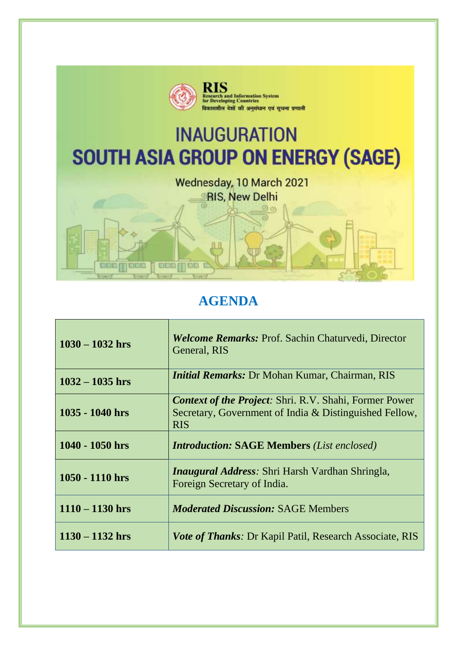

## **AGENDA**

| $1030 - 1032$ hrs | <b>Welcome Remarks: Prof. Sachin Chaturvedi, Director</b><br>General, RIS                                                             |
|-------------------|---------------------------------------------------------------------------------------------------------------------------------------|
| $1032 - 1035$ hrs | <i>Initial Remarks: Dr Mohan Kumar, Chairman, RIS</i>                                                                                 |
| $1035 - 1040$ hrs | <b>Context of the Project:</b> Shri. R.V. Shahi, Former Power<br>Secretary, Government of India & Distinguished Fellow,<br><b>RIS</b> |
| $1040 - 1050$ hrs | <b>Introduction: SAGE Members (List enclosed)</b>                                                                                     |
| 1050 - 1110 hrs   | <i>Inaugural Address: Shri Harsh Vardhan Shringla,</i><br>Foreign Secretary of India.                                                 |
| $1110 - 1130$ hrs | <i>Moderated Discussion: SAGE Members</i>                                                                                             |
| $1130 - 1132$ hrs | <i>Vote of Thanks: Dr Kapil Patil, Research Associate, RIS</i>                                                                        |